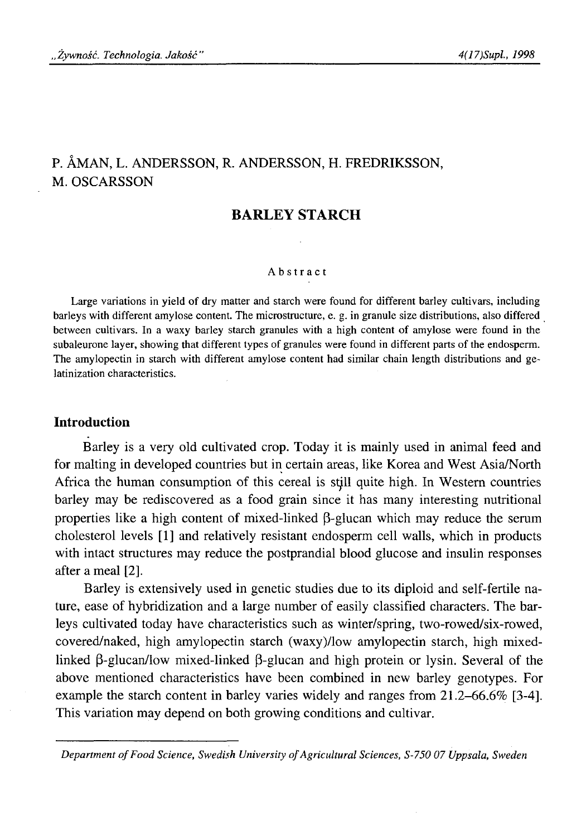# P. ÁMAN, L. ANDERSSON, R. ANDERSSON, H. FREDRIKSSON, M. OSCARSSON

## **BARLEY STARCH**

#### Abstract

Large variations in yield of dry matter and starch were found for different barley cultivars, including barleys with different amylose content. The microstructure, e. g. in granule size distributions, also differed between cultivars. In a waxy barley starch granules with a high content of amylose were found in the subaleurone layer, showing that different types of granules were found in different parts of the endosperm. The amylopectin in starch with different amylose content had similar chain length distributions and gelatinization characteristics.

### **Introduction**

Barley is a very old cultivated crop. Today it is mainly used in animal feed and for malting in developed countries but in certain areas, like Korea and West Asia/North Africa the human consumption of this cereal is still quite high. In Western countries barley may be rediscovered as a food grain since it has many interesting nutritional properties like a high content of mixed-linked β-glucan which may reduce the serum cholesterol levels [1 ] and relatively resistant endosperm cell walls, which in products with intact structures may reduce the postprandial blood glucose and insulin responses after a meal [2].

Barley is extensively used in genetic studies due to its diploid and self-fertile nature, ease of hybridization and a large number of easily classified characters. The barleys cultivated today have characteristics such as winter/spring, two-rowed/six-rowed, covered/naked, high amylopectin starch (waxy)/low amylopectin starch, high mixedlinked β-glucan/low mixed-linked β-glucan and high protein or lysin. Several of the above mentioned characteristics have been combined in new barley genotypes. For example the starch content in barley varies widely and ranges from 21.2-66.6% [3-4]. This variation may depend on both growing conditions and cultivar.

*Department of Food Science, Swedish University of Agricultural Sciences, S-750 07 Uppsala, Sweden*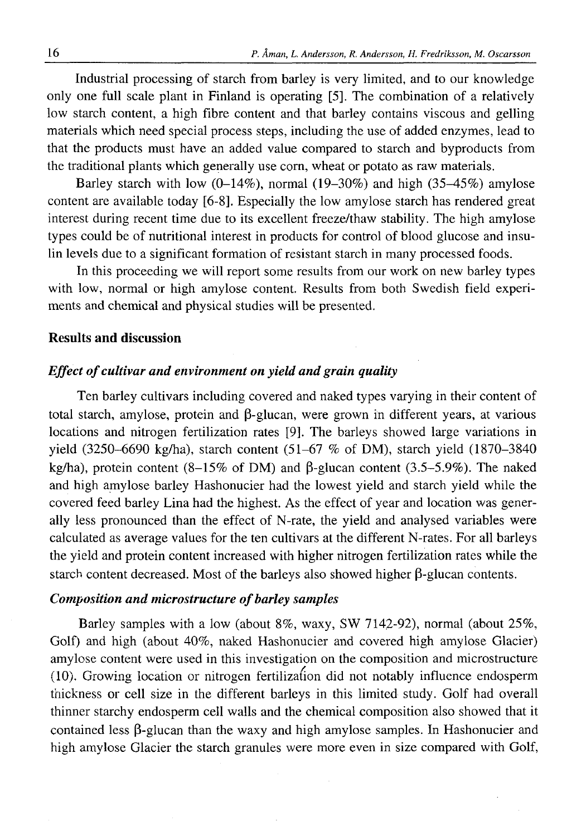Industrial processing of starch from barley is very limited, and to our knowledge only one full scale plant in Finland is operating [5]. The combination of a relatively low starch content, a high fibre content and that barley contains viscous and gelling materials which need special process steps, including the use of added enzymes, lead to that the products must have an added value compared to starch and byproducts from the traditional plants which generally use com, wheat or potato as raw materials.

Barley starch with low  $(0-14\%)$ , normal  $(19-30\%)$  and high  $(35-45\%)$  amylose content are available today [6 -8 ]. Especially the low amylose starch has rendered great interest during recent time due to its excellent freeze/thaw stability. The high amylose types could be of nutritional interest in products for control of blood glucose and insulin levels due to a significant formation of resistant starch in many processed foods.

In this proceeding we will report some results from our work on new barley types with low, normal or high amylose content. Results from both Swedish field experiments and chemical and physical studies will be presented.

### **Results and discussion**

### *Effect of cultivar and environment on yield and grain quality*

Ten barley cultivars including covered and naked types varying in their content of total starch, amylose, protein and β-glucan, were grown in different years, at various locations and nitrogen fertilization rates [9]. The barleys showed large variations in yield (3250-6690 kg/ha), starch content (51-67 % of DM), starch yield (1870-3840 kg/ha), protein content (8-15% of DM) and β-glucan content (3.5-5.9%). The naked and high amylose barley Hashonucier had the lowest yield and starch yield while the covered feed barley Lina had the highest. As the effect of year and location was generally less pronounced than the effect of N-rate, the yield and analysed variables were calculated as average values for the ten cultivars at the different N-rates. For all barleys the yield and protein content increased with higher nitrogen fertilization rates while the starch content decreased. Most of the barleys also showed higher β-glucan contents.

### *Composition and microstructure of barley samples*

Barley samples with a low (about  $8\%$ , waxy, SW 7142-92), normal (about  $25\%$ , Golf) and high (about 40%, naked Hashonucier and covered high amylose Glacier) amylose content were used in this investigation on the composition and microstructure (10). Growing location or nitrogen fertilization did not notably influence endosperm thickness or cell size in the different barleys in this limited study. Golf had overall thinner starchy endosperm cell walls and the chemical composition also showed that it contained less β-glucan than the waxy and high amylose samples. In Hashonucier and high amylose Glacier the starch granules were more even in size compared with Golf,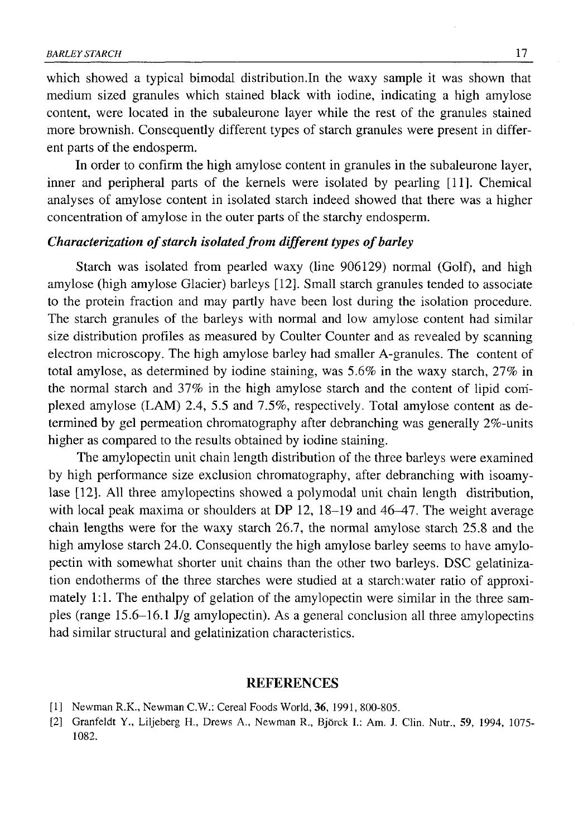which showed a typical bimodal distribution.In the waxy sample it was shown that medium sized granules which stained black with iodine, indicating a high amylose content, were located in the subaleurone layer while the rest of the granules stained more brownish. Consequently different types of starch granules were present in different parts of the endosperm.

In order to confirm the high amylose content in granules in the subaleurone layer, inner and peripheral parts of the kernels were isolated by pearling [11]. Chemical analyses of amylose content in isolated starch indeed showed that there was a higher concentration of amylose in the outer parts of the starchy endosperm.

### *Characterization of starch isolated from different types of barley*

Starch was isolated from pearled waxy (line 906129) normal (Golf), and high amylose (high amylose Glacier) barleys [12]. Small starch granules tended to associate to the protein fraction and may partly have been lost during the isolation procedure. The starch granules of the barleys with normal and low amylose content had similar size distribution profiles as measured by Coulter Counter and as revealed by scanning electron microscopy. The high amylose barley had smaller A-granules. The content of total amylose, as determined by iodine staining, was 5.6% in the waxy starch, 27% in the normal starch and 37% in the high amylose starch and the content of lipid complexed amylose (LAM) 2.4, 5.5 and 7.5%, respectively. Total amylose content as determined by gel permeation chromatography after debranching was generally 2%-units higher as compared to the results obtained by iodine staining.

The amylopectin unit chain length distribution of the three barleys were examined by high performance size exclusion chromatography, after debranching with isoamylase [12]. All three amylopectins showed a polymodal unit chain length distribution, with local peak maxima or shoulders at DP 12, 18-19 and 46-47. The weight average chain lengths were for the waxy starch 26.7, the normal amylose starch 25.8 and the high amylose starch 24.0. Consequently the high amylose barley seems to have amylopectin with somewhat shorter unit chains than the other two barleys. DSC gelatinization endotherms of the three starches were studied at a starch:water ratio of approximately 1:1. The enthalpy of gelation of the amylopectin were similar in the three samples (range 15.6-16.1 J/g amylopectin). As a general conclusion all three amylopectins had similar structural and gelatinization characteristics.

#### REFERENCES

- [1] Newman R.K., Newman C.W.: Cereal Foods World, 36, 1991, 800-805.
- [2] Granfeldt Y., Liljeberg H., Drews A., Newman R., Bjorck I.: Am. J. Clin. Nutr., 59, 1994, 1075- 1082.